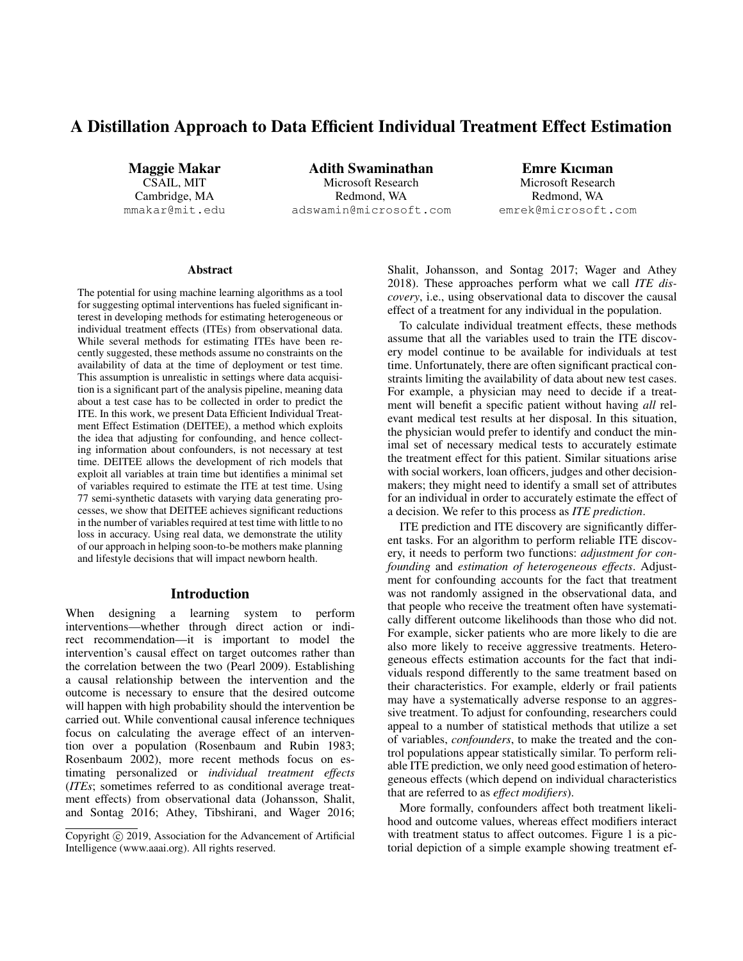# A Distillation Approach to Data Efficient Individual Treatment Effect Estimation

Maggie Makar CSAIL, MIT Cambridge, MA mmakar@mit.edu

Adith Swaminathan Microsoft Research Redmond, WA adswamin@microsoft.com

Emre Kıcıman Microsoft Research Redmond, WA emrek@microsoft.com

#### **Abstract**

The potential for using machine learning algorithms as a tool for suggesting optimal interventions has fueled significant interest in developing methods for estimating heterogeneous or individual treatment effects (ITEs) from observational data. While several methods for estimating ITEs have been recently suggested, these methods assume no constraints on the availability of data at the time of deployment or test time. This assumption is unrealistic in settings where data acquisition is a significant part of the analysis pipeline, meaning data about a test case has to be collected in order to predict the ITE. In this work, we present Data Efficient Individual Treatment Effect Estimation (DEITEE), a method which exploits the idea that adjusting for confounding, and hence collecting information about confounders, is not necessary at test time. DEITEE allows the development of rich models that exploit all variables at train time but identifies a minimal set of variables required to estimate the ITE at test time. Using 77 semi-synthetic datasets with varying data generating processes, we show that DEITEE achieves significant reductions in the number of variables required at test time with little to no loss in accuracy. Using real data, we demonstrate the utility of our approach in helping soon-to-be mothers make planning and lifestyle decisions that will impact newborn health.

#### Introduction

When designing a learning system to perform interventions—whether through direct action or indirect recommendation—it is important to model the intervention's causal effect on target outcomes rather than the correlation between the two (Pearl 2009). Establishing a causal relationship between the intervention and the outcome is necessary to ensure that the desired outcome will happen with high probability should the intervention be carried out. While conventional causal inference techniques focus on calculating the average effect of an intervention over a population (Rosenbaum and Rubin 1983; Rosenbaum 2002), more recent methods focus on estimating personalized or *individual treatment effects* (*ITEs*; sometimes referred to as conditional average treatment effects) from observational data (Johansson, Shalit, and Sontag 2016; Athey, Tibshirani, and Wager 2016; Shalit, Johansson, and Sontag 2017; Wager and Athey 2018). These approaches perform what we call *ITE discovery*, i.e., using observational data to discover the causal effect of a treatment for any individual in the population.

To calculate individual treatment effects, these methods assume that all the variables used to train the ITE discovery model continue to be available for individuals at test time. Unfortunately, there are often significant practical constraints limiting the availability of data about new test cases. For example, a physician may need to decide if a treatment will benefit a specific patient without having *all* relevant medical test results at her disposal. In this situation, the physician would prefer to identify and conduct the minimal set of necessary medical tests to accurately estimate the treatment effect for this patient. Similar situations arise with social workers, loan officers, judges and other decisionmakers; they might need to identify a small set of attributes for an individual in order to accurately estimate the effect of a decision. We refer to this process as *ITE prediction*.

ITE prediction and ITE discovery are significantly different tasks. For an algorithm to perform reliable ITE discovery, it needs to perform two functions: *adjustment for confounding* and *estimation of heterogeneous effects*. Adjustment for confounding accounts for the fact that treatment was not randomly assigned in the observational data, and that people who receive the treatment often have systematically different outcome likelihoods than those who did not. For example, sicker patients who are more likely to die are also more likely to receive aggressive treatments. Heterogeneous effects estimation accounts for the fact that individuals respond differently to the same treatment based on their characteristics. For example, elderly or frail patients may have a systematically adverse response to an aggressive treatment. To adjust for confounding, researchers could appeal to a number of statistical methods that utilize a set of variables, *confounders*, to make the treated and the control populations appear statistically similar. To perform reliable ITE prediction, we only need good estimation of heterogeneous effects (which depend on individual characteristics that are referred to as *effect modifiers*).

More formally, confounders affect both treatment likelihood and outcome values, whereas effect modifiers interact with treatment status to affect outcomes. Figure 1 is a pictorial depiction of a simple example showing treatment ef-

Copyright (c) 2019, Association for the Advancement of Artificial Intelligence (www.aaai.org). All rights reserved.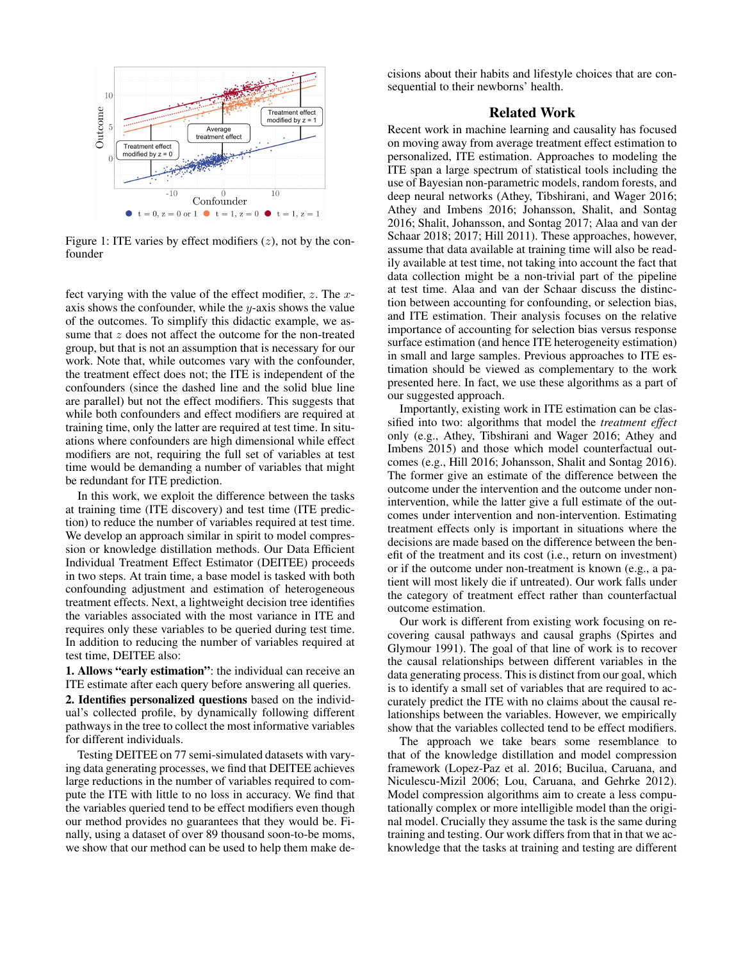

Figure 1: ITE varies by effect modifiers  $(z)$ , not by the confounder

fect varying with the value of the effect modifier,  $z$ . The  $x$ axis shows the confounder, while the  $y$ -axis shows the value of the outcomes. To simplify this didactic example, we assume that z does not affect the outcome for the non-treated group, but that is not an assumption that is necessary for our work. Note that, while outcomes vary with the confounder, the treatment effect does not; the ITE is independent of the confounders (since the dashed line and the solid blue line are parallel) but not the effect modifiers. This suggests that while both confounders and effect modifiers are required at training time, only the latter are required at test time. In situations where confounders are high dimensional while effect modifiers are not, requiring the full set of variables at test time would be demanding a number of variables that might be redundant for ITE prediction.

In this work, we exploit the difference between the tasks at training time (ITE discovery) and test time (ITE prediction) to reduce the number of variables required at test time. We develop an approach similar in spirit to model compression or knowledge distillation methods. Our Data Efficient Individual Treatment Effect Estimator (DEITEE) proceeds in two steps. At train time, a base model is tasked with both confounding adjustment and estimation of heterogeneous treatment effects. Next, a lightweight decision tree identifies the variables associated with the most variance in ITE and requires only these variables to be queried during test time. In addition to reducing the number of variables required at test time, DEITEE also:

1. Allows "early estimation": the individual can receive an ITE estimate after each query before answering all queries.

2. Identifies personalized questions based on the individual's collected profile, by dynamically following different pathways in the tree to collect the most informative variables for different individuals.

Testing DEITEE on 77 semi-simulated datasets with varying data generating processes, we find that DEITEE achieves large reductions in the number of variables required to compute the ITE with little to no loss in accuracy. We find that the variables queried tend to be effect modifiers even though our method provides no guarantees that they would be. Finally, using a dataset of over 89 thousand soon-to-be moms, we show that our method can be used to help them make de-

cisions about their habits and lifestyle choices that are consequential to their newborns' health.

## Related Work

Recent work in machine learning and causality has focused on moving away from average treatment effect estimation to personalized, ITE estimation. Approaches to modeling the ITE span a large spectrum of statistical tools including the use of Bayesian non-parametric models, random forests, and deep neural networks (Athey, Tibshirani, and Wager 2016; Athey and Imbens 2016; Johansson, Shalit, and Sontag 2016; Shalit, Johansson, and Sontag 2017; Alaa and van der Schaar 2018; 2017; Hill 2011). These approaches, however, assume that data available at training time will also be readily available at test time, not taking into account the fact that data collection might be a non-trivial part of the pipeline at test time. Alaa and van der Schaar discuss the distinction between accounting for confounding, or selection bias, and ITE estimation. Their analysis focuses on the relative importance of accounting for selection bias versus response surface estimation (and hence ITE heterogeneity estimation) in small and large samples. Previous approaches to ITE estimation should be viewed as complementary to the work presented here. In fact, we use these algorithms as a part of our suggested approach.

Importantly, existing work in ITE estimation can be classified into two: algorithms that model the *treatment effect* only (e.g., Athey, Tibshirani and Wager 2016; Athey and Imbens 2015) and those which model counterfactual outcomes (e.g., Hill 2016; Johansson, Shalit and Sontag 2016). The former give an estimate of the difference between the outcome under the intervention and the outcome under nonintervention, while the latter give a full estimate of the outcomes under intervention and non-intervention. Estimating treatment effects only is important in situations where the decisions are made based on the difference between the benefit of the treatment and its cost (i.e., return on investment) or if the outcome under non-treatment is known (e.g., a patient will most likely die if untreated). Our work falls under the category of treatment effect rather than counterfactual outcome estimation.

Our work is different from existing work focusing on recovering causal pathways and causal graphs (Spirtes and Glymour 1991). The goal of that line of work is to recover the causal relationships between different variables in the data generating process. This is distinct from our goal, which is to identify a small set of variables that are required to accurately predict the ITE with no claims about the causal relationships between the variables. However, we empirically show that the variables collected tend to be effect modifiers.

The approach we take bears some resemblance to that of the knowledge distillation and model compression framework (Lopez-Paz et al. 2016; Bucilua, Caruana, and Niculescu-Mizil 2006; Lou, Caruana, and Gehrke 2012). Model compression algorithms aim to create a less computationally complex or more intelligible model than the original model. Crucially they assume the task is the same during training and testing. Our work differs from that in that we acknowledge that the tasks at training and testing are different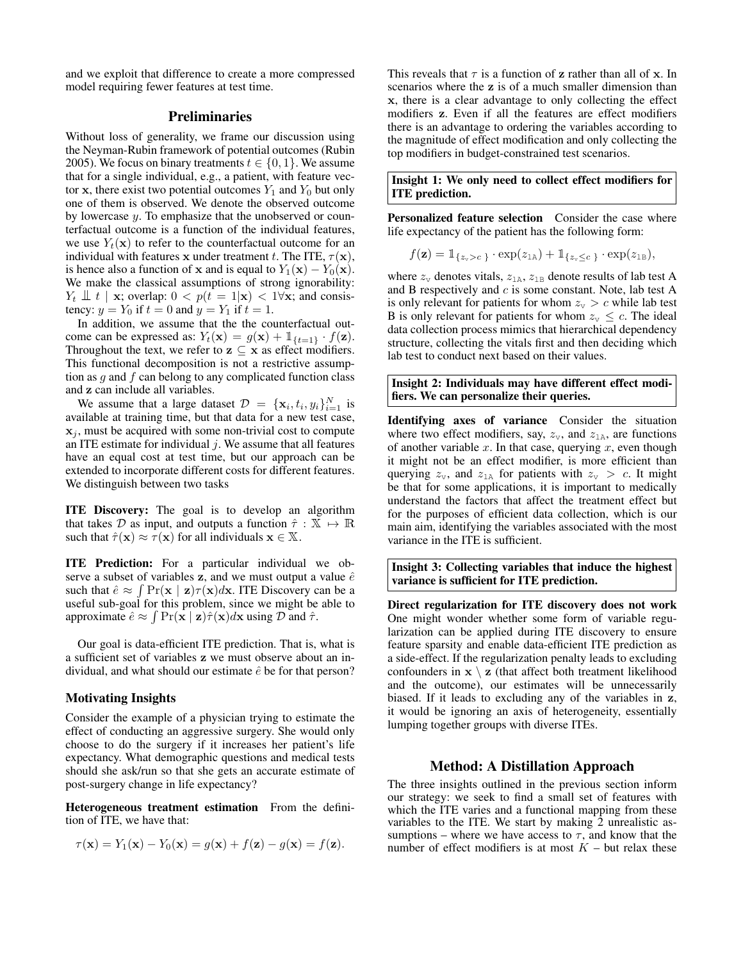and we exploit that difference to create a more compressed model requiring fewer features at test time.

## Preliminaries

Without loss of generality, we frame our discussion using the Neyman-Rubin framework of potential outcomes (Rubin 2005). We focus on binary treatments  $t \in \{0, 1\}$ . We assume that for a single individual, e.g., a patient, with feature vector x, there exist two potential outcomes  $Y_1$  and  $Y_0$  but only one of them is observed. We denote the observed outcome by lowercase y. To emphasize that the unobserved or counterfactual outcome is a function of the individual features, we use  $Y_t(\mathbf{x})$  to refer to the counterfactual outcome for an individual with features x under treatment t. The ITE,  $\tau(\mathbf{x})$ , is hence also a function of x and is equal to  $Y_1(\mathbf{x}) - Y_0(\mathbf{x})$ . We make the classical assumptions of strong ignorability:  $Y_t \perp \!\!\!\perp t \mid \mathbf{x}$ ; overlap:  $0 < p(t = 1|\mathbf{x}) < 1 \forall \mathbf{x}$ ; and consistency:  $y = Y_0$  if  $t = 0$  and  $y = Y_1$  if  $t = 1$ .

In addition, we assume that the the counterfactual outcome can be expressed as:  $Y_t(\mathbf{x}) = g(\mathbf{x}) + \mathbb{1}_{\{t=1\}} \cdot f(\mathbf{z}).$ Throughout the text, we refer to  $z \subseteq x$  as effect modifiers. This functional decomposition is not a restrictive assumption as  $g$  and  $f$  can belong to any complicated function class and z can include all variables.

We assume that a large dataset  $\mathcal{D} = {\mathbf{x}_i, t_i, y_i}_{i=1}^N$  is available at training time, but that data for a new test case,  $x_i$ , must be acquired with some non-trivial cost to compute an ITE estimate for individual  $j$ . We assume that all features have an equal cost at test time, but our approach can be extended to incorporate different costs for different features. We distinguish between two tasks

ITE Discovery: The goal is to develop an algorithm that takes D as input, and outputs a function  $\hat{\tau} : \mathbb{X} \mapsto \mathbb{R}$ such that  $\hat{\tau}(\mathbf{x}) \approx \tau(\mathbf{x})$  for all individuals  $\mathbf{x} \in \mathbb{X}$ .

ITE Prediction: For a particular individual we observe a subset of variables z, and we must output a value  $\hat{e}$ such that  $\hat{e} \approx \int \Pr(\mathbf{x} \mid \mathbf{z}) \tau(\mathbf{x}) d\mathbf{x}$ . ITE Discovery can be a useful sub-goal for this problem, since we might be able to approximate  $\hat{e} \approx \int \Pr(\mathbf{x} \mid \mathbf{z}) \hat{\tau}(\mathbf{x}) d\mathbf{x}$  using  $\mathcal{D}$  and  $\hat{\tau}$ .

Our goal is data-efficient ITE prediction. That is, what is a sufficient set of variables z we must observe about an individual, and what should our estimate  $\hat{e}$  be for that person?

#### Motivating Insights

Consider the example of a physician trying to estimate the effect of conducting an aggressive surgery. She would only choose to do the surgery if it increases her patient's life expectancy. What demographic questions and medical tests should she ask/run so that she gets an accurate estimate of post-surgery change in life expectancy?

Heterogeneous treatment estimation From the definition of ITE, we have that:

$$
\tau(\mathbf{x}) = Y_1(\mathbf{x}) - Y_0(\mathbf{x}) = g(\mathbf{x}) + f(\mathbf{z}) - g(\mathbf{x}) = f(\mathbf{z}).
$$

This reveals that  $\tau$  is a function of **z** rather than all of **x**. In scenarios where the z is of a much smaller dimension than x, there is a clear advantage to only collecting the effect modifiers z. Even if all the features are effect modifiers there is an advantage to ordering the variables according to the magnitude of effect modification and only collecting the top modifiers in budget-constrained test scenarios.

#### Insight 1: We only need to collect effect modifiers for ITE prediction.

Personalized feature selection Consider the case where life expectancy of the patient has the following form:

 $f(\mathbf{z}) = \mathbb{1}_{\{z_v > c\}} \cdot \exp(z_{1\text{A}}) + \mathbb{1}_{\{z_v \le c\}} \cdot \exp(z_{1\text{B}}),$ 

where  $z_v$  denotes vitals,  $z_{1A}$ ,  $z_{1B}$  denote results of lab test A and B respectively and  $c$  is some constant. Note, lab test A is only relevant for patients for whom  $z_v > c$  while lab test B is only relevant for patients for whom  $z_v \leq c$ . The ideal data collection process mimics that hierarchical dependency structure, collecting the vitals first and then deciding which lab test to conduct next based on their values.

Insight 2: Individuals may have different effect modifiers. We can personalize their queries.

Identifying axes of variance Consider the situation where two effect modifiers, say,  $z_{v}$ , and  $z_{1A}$ , are functions of another variable  $x$ . In that case, querying  $x$ , even though it might not be an effect modifier, is more efficient than querying  $z_v$ , and  $z_{1A}$  for patients with  $z_v > c$ . It might be that for some applications, it is important to medically understand the factors that affect the treatment effect but for the purposes of efficient data collection, which is our main aim, identifying the variables associated with the most variance in the ITE is sufficient.

Insight 3: Collecting variables that induce the highest variance is sufficient for ITE prediction.

Direct regularization for ITE discovery does not work One might wonder whether some form of variable regularization can be applied during ITE discovery to ensure feature sparsity and enable data-efficient ITE prediction as a side-effect. If the regularization penalty leads to excluding confounders in  $x \setminus z$  (that affect both treatment likelihood and the outcome), our estimates will be unnecessarily biased. If it leads to excluding any of the variables in z, it would be ignoring an axis of heterogeneity, essentially lumping together groups with diverse ITEs.

#### Method: A Distillation Approach

The three insights outlined in the previous section inform our strategy: we seek to find a small set of features with which the ITE varies and a functional mapping from these variables to the ITE. We start by making 2 unrealistic assumptions – where we have access to  $\tau$ , and know that the number of effect modifiers is at most  $K$  – but relax these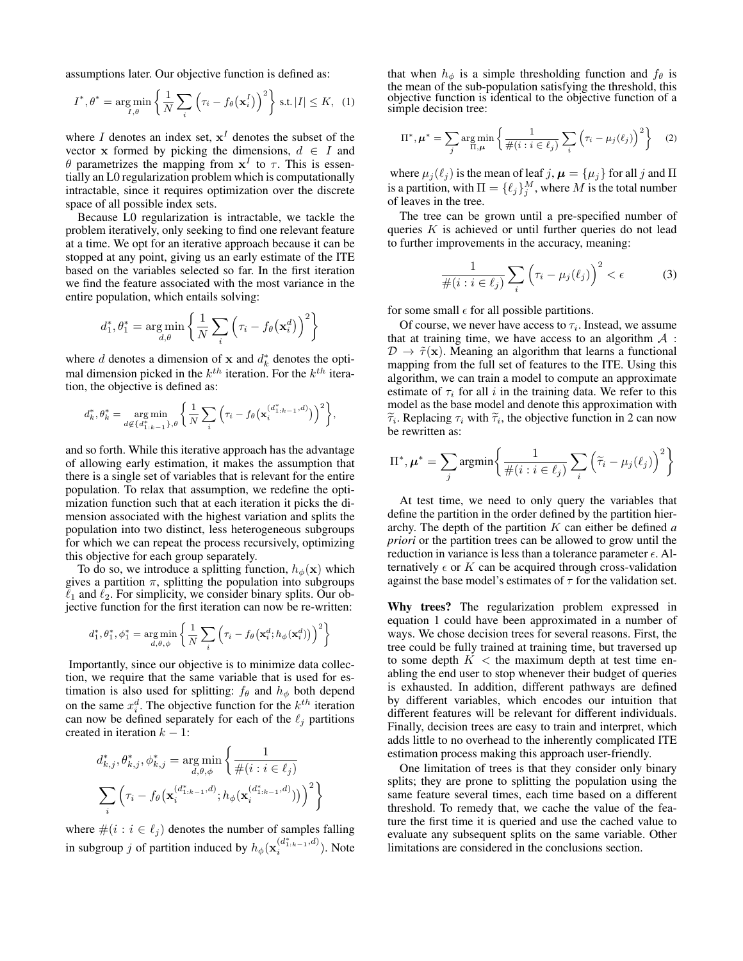assumptions later. Our objective function is defined as:

$$
I^*, \theta^* = \underset{I, \theta}{\arg\min} \left\{ \frac{1}{N} \sum_i \left( \tau_i - f_{\theta}(\mathbf{x}_i^I) \right)^2 \right\} \text{ s.t. } |I| \le K, \tag{1}
$$

where I denotes an index set,  $x^I$  denotes the subset of the vector x formed by picking the dimensions,  $d \in I$  and θ parametrizes the mapping from  $x<sup>I</sup>$  to  $τ$ . This is essentially an L0 regularization problem which is computationally intractable, since it requires optimization over the discrete space of all possible index sets.

Because L0 regularization is intractable, we tackle the problem iteratively, only seeking to find one relevant feature at a time. We opt for an iterative approach because it can be stopped at any point, giving us an early estimate of the ITE based on the variables selected so far. In the first iteration we find the feature associated with the most variance in the entire population, which entails solving:

$$
d_1^*, \theta_1^* = \underset{d, \theta}{\arg\min} \left\{ \frac{1}{N} \sum_i \left( \tau_i - f_{\theta}(\mathbf{x}_i^d) \right)^2 \right\}
$$

where d denotes a dimension of  $x$  and  $d_k^*$  denotes the optimal dimension picked in the  $k^{th}$  iteration. For the  $k^{th}$  iteration, the objective is defined as:

$$
d_k^*, \theta_k^* = \underset{d \notin \{d_{1:k-1}^*, \theta\}}{\arg \min} \left\{ \frac{1}{N} \sum_i \left( \tau_i - f_{\theta} \left( \mathbf{x}_i^{(d_{1:k-1}^*, d)} \right) \right)^2 \right\},\
$$

and so forth. While this iterative approach has the advantage of allowing early estimation, it makes the assumption that there is a single set of variables that is relevant for the entire population. To relax that assumption, we redefine the optimization function such that at each iteration it picks the dimension associated with the highest variation and splits the population into two distinct, less heterogeneous subgroups for which we can repeat the process recursively, optimizing this objective for each group separately.

To do so, we introduce a splitting function,  $h_{\phi}(\mathbf{x})$  which gives a partition  $\pi$ , splitting the population into subgroups  $\ell_1$  and  $\ell_2$ . For simplicity, we consider binary splits. Our objective function for the first iteration can now be re-written:

$$
d_1^*, \theta_1^*, \phi_1^* = \underset{d, \theta, \phi}{\arg\min} \left\{ \frac{1}{N} \sum_i \left( \tau_i - f_{\theta} \left( \mathbf{x}_i^d; h_{\phi}(\mathbf{x}_i^d) \right) \right)^2 \right\}
$$

Importantly, since our objective is to minimize data collection, we require that the same variable that is used for estimation is also used for splitting:  $f_{\theta}$  and  $h_{\phi}$  both depend on the same  $x_i^d$ . The objective function for the  $k^{th}$  iteration can now be defined separately for each of the  $\ell_i$  partitions created in iteration  $k - 1$ :

$$
d_{k,j}^*, \theta_{k,j}^*, \phi_{k,j}^* = \underset{d,\theta,\phi}{\arg\min} \left\{ \frac{1}{\#(i : i \in \ell_j)} \right\}
$$

$$
\sum_i \left( \tau_i - f_\theta(\mathbf{x}_i^{(d_{1:k-1}^*,d)}; h_\phi(\mathbf{x}_i^{(d_{1:k-1}^*,d)})) \right)^2 \right\}
$$

where  $\#(i : i \in \ell_i)$  denotes the number of samples falling in subgroup j of partition induced by  $h_{\phi}(\mathbf{x}_i^{(d_{1:k-1}^*,d)})$  $\binom{a_{1:k-1},a_{j}}{i}$ . Note

that when  $h_{\phi}$  is a simple thresholding function and  $f_{\theta}$  is the mean of the sub-population satisfying the threshold, this objective function is identical to the objective function of a simple decision tree:

$$
\Pi^*, \boldsymbol{\mu}^* = \sum_j \operatorname*{arg\,min}_{\Pi, \boldsymbol{\mu}} \left\{ \frac{1}{\#(i : i \in \ell_j)} \sum_i \left( \tau_i - \mu_j(\ell_j) \right)^2 \right\} \tag{2}
$$

where  $\mu_j(\ell_j)$  is the mean of leaf j,  $\mu = {\mu_j}$  for all j and  $\Pi$ is a partition, with  $\Pi = \{ \ell_j \}_{j=1}^M$ , where  $M$  is the total number of leaves in the tree.

The tree can be grown until a pre-specified number of queries  $K$  is achieved or until further queries do not lead to further improvements in the accuracy, meaning:

$$
\frac{1}{\#(i:i \in \ell_j)} \sum_{i} \left(\tau_i - \mu_j(\ell_j)\right)^2 < \epsilon \tag{3}
$$

for some small  $\epsilon$  for all possible partitions.

Of course, we never have access to  $\tau_i$ . Instead, we assume that at training time, we have access to an algorithm  $A$ :  $\mathcal{D} \rightarrow \tilde{\tau}(\mathbf{x})$ . Meaning an algorithm that learns a functional mapping from the full set of features to the ITE. Using this algorithm, we can train a model to compute an approximate estimate of  $\tau_i$  for all i in the training data. We refer to this model as the base model and denote this approximation with  $\tilde{\tau}_i$ . Replacing  $\tau_i$  with  $\tilde{\tau}_i$ , the objective function in 2 can now be rewritten as: be rewritten as:

$$
\Pi^*, \boldsymbol{\mu}^* = \sum_j \operatorname{argmin} \left\{ \frac{1}{\#(i : i \in \ell_j)} \sum_i \left( \widetilde{\tau}_i - \mu_j(\ell_j) \right)^2 \right\}
$$

At test time, we need to only query the variables that define the partition in the order defined by the partition hierarchy. The depth of the partition K can either be defined *a priori* or the partition trees can be allowed to grow until the reduction in variance is less than a tolerance parameter  $\epsilon$ . Alternatively  $\epsilon$  or K can be acquired through cross-validation against the base model's estimates of  $\tau$  for the validation set.

Why trees? The regularization problem expressed in equation 1 could have been approximated in a number of ways. We chose decision trees for several reasons. First, the tree could be fully trained at training time, but traversed up to some depth  $K <$  the maximum depth at test time enabling the end user to stop whenever their budget of queries is exhausted. In addition, different pathways are defined by different variables, which encodes our intuition that different features will be relevant for different individuals. Finally, decision trees are easy to train and interpret, which adds little to no overhead to the inherently complicated ITE estimation process making this approach user-friendly.

One limitation of trees is that they consider only binary splits; they are prone to splitting the population using the same feature several times, each time based on a different threshold. To remedy that, we cache the value of the feature the first time it is queried and use the cached value to evaluate any subsequent splits on the same variable. Other limitations are considered in the conclusions section.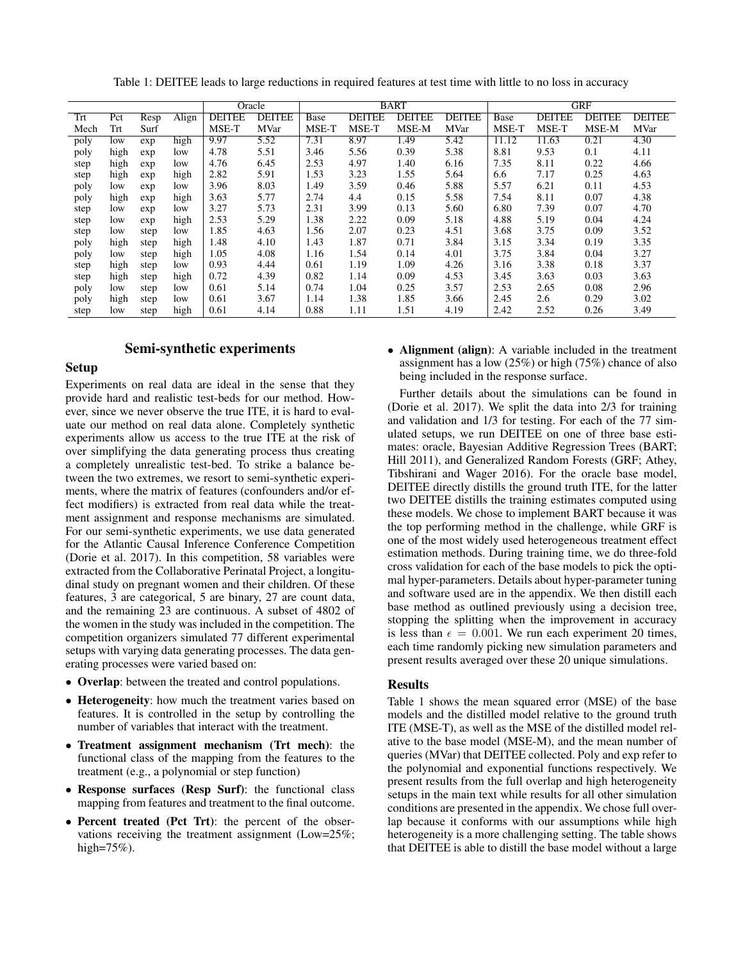|      |      |      |       |               | Oracle        | <b>BART</b> |        |        | GRF           |       |               |        |               |
|------|------|------|-------|---------------|---------------|-------------|--------|--------|---------------|-------|---------------|--------|---------------|
| Trt  | Pct  | Resp | Align | <b>DEITEE</b> | <b>DEITEE</b> | Base        | DEITEE | DEITEE | <b>DEITEE</b> | Base  | <b>DEITEE</b> | DEITEE | <b>DEITEE</b> |
| Mech | Trt  | Surf |       | MSE-T         | <b>MVar</b>   | MSE-T       | MSE-T  | MSE-M  | <b>MVar</b>   | MSE-T | MSE-T         | MSE-M  | <b>MVar</b>   |
| poly | low  | exp  | high  | 9.97          | 5.52          | 7.31        | 8.97   | 1.49   | 5.42          | 11.12 | 11.63         | 0.21   | 4.30          |
| poly | high | exp  | low   | 4.78          | 5.51          | 3.46        | 5.56   | 0.39   | 5.38          | 8.81  | 9.53          | 0.1    | 4.11          |
| step | high | exp  | low   | 4.76          | 6.45          | 2.53        | 4.97   | 1.40   | 6.16          | 7.35  | 8.11          | 0.22   | 4.66          |
| step | high | exp  | high  | 2.82          | 5.91          | 1.53        | 3.23   | 1.55   | 5.64          | 6.6   | 7.17          | 0.25   | 4.63          |
| poly | low  | exp  | low   | 3.96          | 8.03          | 1.49        | 3.59   | 0.46   | 5.88          | 5.57  | 6.21          | 0.11   | 4.53          |
| poly | high | exp  | high  | 3.63          | 5.77          | 2.74        | 4.4    | 0.15   | 5.58          | 7.54  | 8.11          | 0.07   | 4.38          |
| step | low  | exp  | low   | 3.27          | 5.73          | 2.31        | 3.99   | 0.13   | 5.60          | 6.80  | 7.39          | 0.07   | 4.70          |
| step | low  | exp  | high  | 2.53          | 5.29          | 1.38        | 2.22   | 0.09   | 5.18          | 4.88  | 5.19          | 0.04   | 4.24          |
| step | low  | step | low   | 1.85          | 4.63          | 1.56        | 2.07   | 0.23   | 4.51          | 3.68  | 3.75          | 0.09   | 3.52          |
| poly | high | step | high  | 1.48          | 4.10          | 1.43        | 1.87   | 0.71   | 3.84          | 3.15  | 3.34          | 0.19   | 3.35          |
| poly | low  | step | high  | 1.05          | 4.08          | 1.16        | 1.54   | 0.14   | 4.01          | 3.75  | 3.84          | 0.04   | 3.27          |
| step | high | step | low   | 0.93          | 4.44          | 0.61        | 1.19   | 1.09   | 4.26          | 3.16  | 3.38          | 0.18   | 3.37          |
| step | high | step | high  | 0.72          | 4.39          | 0.82        | 1.14   | 0.09   | 4.53          | 3.45  | 3.63          | 0.03   | 3.63          |
| poly | low  | step | low   | 0.61          | 5.14          | 0.74        | 1.04   | 0.25   | 3.57          | 2.53  | 2.65          | 0.08   | 2.96          |
| poly | high | step | low   | 0.61          | 3.67          | 1.14        | 1.38   | 1.85   | 3.66          | 2.45  | 2.6           | 0.29   | 3.02          |
| step | low  | step | high  | 0.61          | 4.14          | 0.88        | 1.11   | 1.51   | 4.19          | 2.42  | 2.52          | 0.26   | 3.49          |

Table 1: DEITEE leads to large reductions in required features at test time with little to no loss in accuracy

### Semi-synthetic experiments

#### Setup

Experiments on real data are ideal in the sense that they provide hard and realistic test-beds for our method. However, since we never observe the true ITE, it is hard to evaluate our method on real data alone. Completely synthetic experiments allow us access to the true ITE at the risk of over simplifying the data generating process thus creating a completely unrealistic test-bed. To strike a balance between the two extremes, we resort to semi-synthetic experiments, where the matrix of features (confounders and/or effect modifiers) is extracted from real data while the treatment assignment and response mechanisms are simulated. For our semi-synthetic experiments, we use data generated for the Atlantic Causal Inference Conference Competition (Dorie et al. 2017). In this competition, 58 variables were extracted from the Collaborative Perinatal Project, a longitudinal study on pregnant women and their children. Of these features, 3 are categorical, 5 are binary, 27 are count data, and the remaining 23 are continuous. A subset of 4802 of the women in the study was included in the competition. The competition organizers simulated 77 different experimental setups with varying data generating processes. The data generating processes were varied based on:

- Overlap: between the treated and control populations.
- Heterogeneity: how much the treatment varies based on features. It is controlled in the setup by controlling the number of variables that interact with the treatment.
- Treatment assignment mechanism (Trt mech): the functional class of the mapping from the features to the treatment (e.g., a polynomial or step function)
- Response surfaces (Resp Surf): the functional class mapping from features and treatment to the final outcome.
- Percent treated (Pct Trt): the percent of the observations receiving the treatment assignment (Low=25%; high=75%).

• Alignment (align): A variable included in the treatment assignment has a low (25%) or high (75%) chance of also being included in the response surface.

Further details about the simulations can be found in (Dorie et al. 2017). We split the data into 2/3 for training and validation and 1/3 for testing. For each of the 77 simulated setups, we run DEITEE on one of three base estimates: oracle, Bayesian Additive Regression Trees (BART; Hill 2011), and Generalized Random Forests (GRF; Athey, Tibshirani and Wager 2016). For the oracle base model, DEITEE directly distills the ground truth ITE, for the latter two DEITEE distills the training estimates computed using these models. We chose to implement BART because it was the top performing method in the challenge, while GRF is one of the most widely used heterogeneous treatment effect estimation methods. During training time, we do three-fold cross validation for each of the base models to pick the optimal hyper-parameters. Details about hyper-parameter tuning and software used are in the appendix. We then distill each base method as outlined previously using a decision tree, stopping the splitting when the improvement in accuracy is less than  $\epsilon = 0.001$ . We run each experiment 20 times, each time randomly picking new simulation parameters and present results averaged over these 20 unique simulations.

## Results

Table 1 shows the mean squared error (MSE) of the base models and the distilled model relative to the ground truth ITE (MSE-T), as well as the MSE of the distilled model relative to the base model (MSE-M), and the mean number of queries (MVar) that DEITEE collected. Poly and exp refer to the polynomial and exponential functions respectively. We present results from the full overlap and high heterogeneity setups in the main text while results for all other simulation conditions are presented in the appendix. We chose full overlap because it conforms with our assumptions while high heterogeneity is a more challenging setting. The table shows that DEITEE is able to distill the base model without a large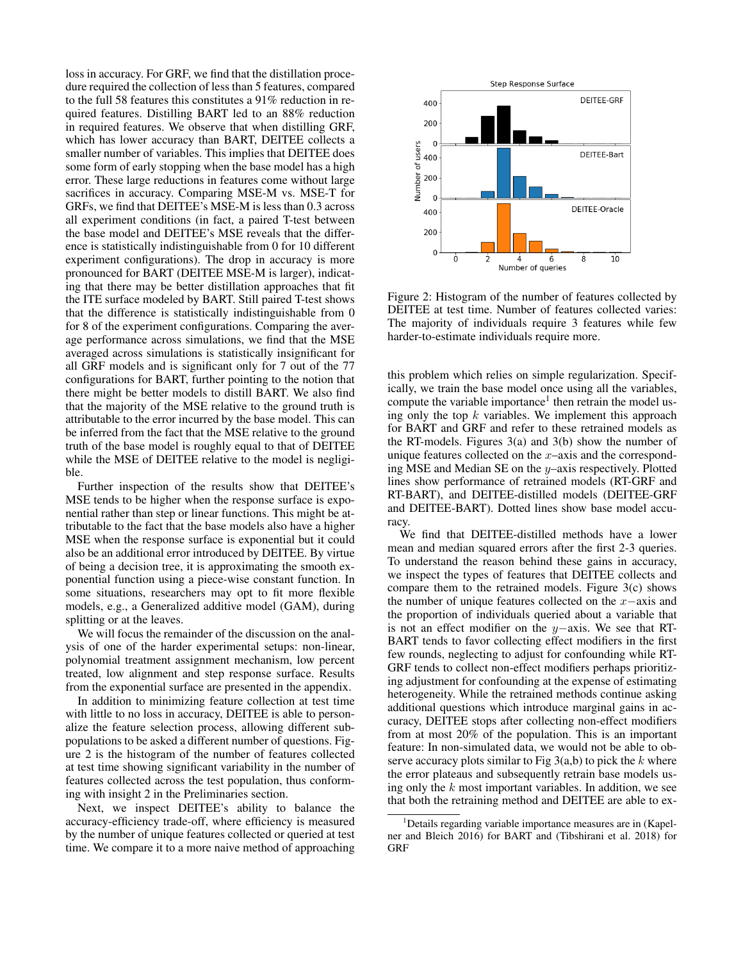loss in accuracy. For GRF, we find that the distillation procedure required the collection of less than 5 features, compared to the full 58 features this constitutes a 91% reduction in required features. Distilling BART led to an 88% reduction in required features. We observe that when distilling GRF, which has lower accuracy than BART, DEITEE collects a smaller number of variables. This implies that DEITEE does some form of early stopping when the base model has a high error. These large reductions in features come without large sacrifices in accuracy. Comparing MSE-M vs. MSE-T for GRFs, we find that DEITEE's MSE-M is less than 0.3 across all experiment conditions (in fact, a paired T-test between the base model and DEITEE's MSE reveals that the difference is statistically indistinguishable from 0 for 10 different experiment configurations). The drop in accuracy is more pronounced for BART (DEITEE MSE-M is larger), indicating that there may be better distillation approaches that fit the ITE surface modeled by BART. Still paired T-test shows that the difference is statistically indistinguishable from 0 for 8 of the experiment configurations. Comparing the average performance across simulations, we find that the MSE averaged across simulations is statistically insignificant for all GRF models and is significant only for 7 out of the 77 configurations for BART, further pointing to the notion that there might be better models to distill BART. We also find that the majority of the MSE relative to the ground truth is attributable to the error incurred by the base model. This can be inferred from the fact that the MSE relative to the ground truth of the base model is roughly equal to that of DEITEE while the MSE of DEITEE relative to the model is negligible.

Further inspection of the results show that DEITEE's MSE tends to be higher when the response surface is exponential rather than step or linear functions. This might be attributable to the fact that the base models also have a higher MSE when the response surface is exponential but it could also be an additional error introduced by DEITEE. By virtue of being a decision tree, it is approximating the smooth exponential function using a piece-wise constant function. In some situations, researchers may opt to fit more flexible models, e.g., a Generalized additive model (GAM), during splitting or at the leaves.

We will focus the remainder of the discussion on the analysis of one of the harder experimental setups: non-linear, polynomial treatment assignment mechanism, low percent treated, low alignment and step response surface. Results from the exponential surface are presented in the appendix.

In addition to minimizing feature collection at test time with little to no loss in accuracy, DEITEE is able to personalize the feature selection process, allowing different subpopulations to be asked a different number of questions. Figure 2 is the histogram of the number of features collected at test time showing significant variability in the number of features collected across the test population, thus conforming with insight 2 in the Preliminaries section.

Next, we inspect DEITEE's ability to balance the accuracy-efficiency trade-off, where efficiency is measured by the number of unique features collected or queried at test time. We compare it to a more naive method of approaching



Figure 2: Histogram of the number of features collected by DEITEE at test time. Number of features collected varies: The majority of individuals require 3 features while few harder-to-estimate individuals require more.

this problem which relies on simple regularization. Specifically, we train the base model once using all the variables, compute the variable importance<sup>1</sup> then retrain the model using only the top  $k$  variables. We implement this approach for BART and GRF and refer to these retrained models as the RT-models. Figures  $3(a)$  and  $3(b)$  show the number of unique features collected on the  $x$ –axis and the corresponding MSE and Median SE on the y–axis respectively. Plotted lines show performance of retrained models (RT-GRF and RT-BART), and DEITEE-distilled models (DEITEE-GRF and DEITEE-BART). Dotted lines show base model accuracy.

We find that DEITEE-distilled methods have a lower mean and median squared errors after the first 2-3 queries. To understand the reason behind these gains in accuracy, we inspect the types of features that DEITEE collects and compare them to the retrained models. Figure 3(c) shows the number of unique features collected on the x−axis and the proportion of individuals queried about a variable that is not an effect modifier on the y−axis. We see that RT-BART tends to favor collecting effect modifiers in the first few rounds, neglecting to adjust for confounding while RT-GRF tends to collect non-effect modifiers perhaps prioritizing adjustment for confounding at the expense of estimating heterogeneity. While the retrained methods continue asking additional questions which introduce marginal gains in accuracy, DEITEE stops after collecting non-effect modifiers from at most 20% of the population. This is an important feature: In non-simulated data, we would not be able to observe accuracy plots similar to Fig  $3(a,b)$  to pick the k where the error plateaus and subsequently retrain base models using only the  $k$  most important variables. In addition, we see that both the retraining method and DEITEE are able to ex-

 $1$ Details regarding variable importance measures are in (Kapelner and Bleich 2016) for BART and (Tibshirani et al. 2018) for GRF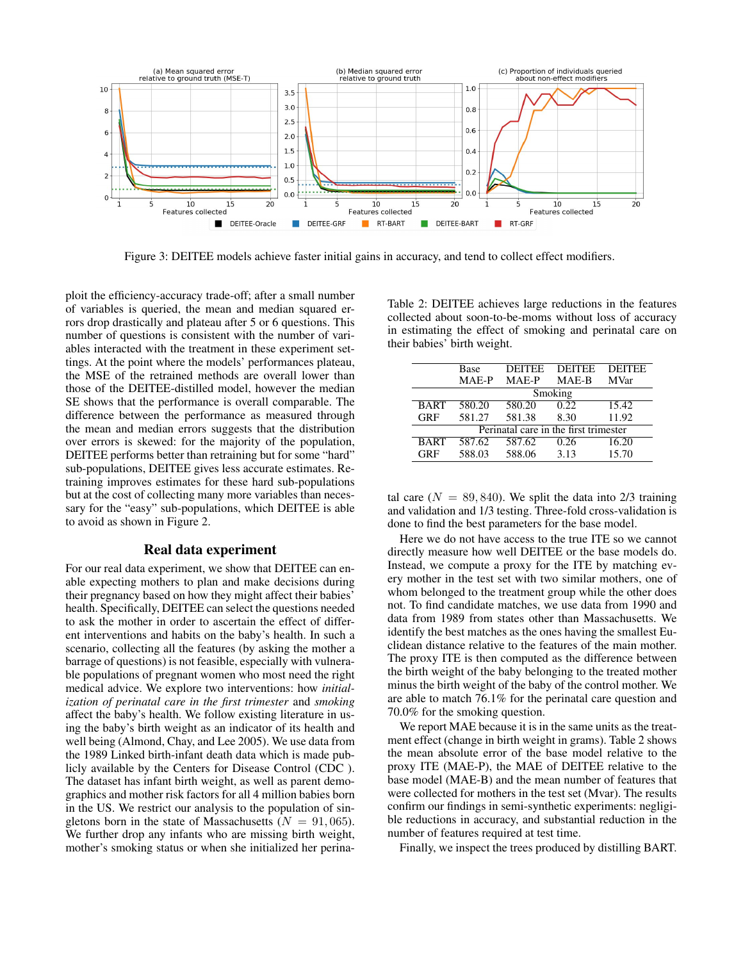

Figure 3: DEITEE models achieve faster initial gains in accuracy, and tend to collect effect modifiers.

ploit the efficiency-accuracy trade-off; after a small number of variables is queried, the mean and median squared errors drop drastically and plateau after 5 or 6 questions. This number of questions is consistent with the number of variables interacted with the treatment in these experiment settings. At the point where the models' performances plateau, the MSE of the retrained methods are overall lower than those of the DEITEE-distilled model, however the median SE shows that the performance is overall comparable. The difference between the performance as measured through the mean and median errors suggests that the distribution over errors is skewed: for the majority of the population, DEITEE performs better than retraining but for some "hard" sub-populations, DEITEE gives less accurate estimates. Retraining improves estimates for these hard sub-populations but at the cost of collecting many more variables than necessary for the "easy" sub-populations, which DEITEE is able to avoid as shown in Figure 2.

### Real data experiment

For our real data experiment, we show that DEITEE can enable expecting mothers to plan and make decisions during their pregnancy based on how they might affect their babies' health. Specifically, DEITEE can select the questions needed to ask the mother in order to ascertain the effect of different interventions and habits on the baby's health. In such a scenario, collecting all the features (by asking the mother a barrage of questions) is not feasible, especially with vulnerable populations of pregnant women who most need the right medical advice. We explore two interventions: how *initialization of perinatal care in the first trimester* and *smoking* affect the baby's health. We follow existing literature in using the baby's birth weight as an indicator of its health and well being (Almond, Chay, and Lee 2005). We use data from the 1989 Linked birth-infant death data which is made publicly available by the Centers for Disease Control (CDC ). The dataset has infant birth weight, as well as parent demographics and mother risk factors for all 4 million babies born in the US. We restrict our analysis to the population of singletons born in the state of Massachusetts ( $N = 91,065$ ). We further drop any infants who are missing birth weight, mother's smoking status or when she initialized her perina-

Table 2: DEITEE achieves large reductions in the features collected about soon-to-be-moms without loss of accuracy in estimating the effect of smoking and perinatal care on their babies' birth weight.

|                                       | Base    | <b>DEITEE</b> | <b>DEITEE</b> | <b>DEITEE</b> |  |  |  |  |  |
|---------------------------------------|---------|---------------|---------------|---------------|--|--|--|--|--|
|                                       | MAE-P   | MAE-P         | MAE-B         | <b>MVar</b>   |  |  |  |  |  |
|                                       | Smoking |               |               |               |  |  |  |  |  |
| <b>BART</b>                           | 580.20  | 580.20        | 0.22.         | 15.42         |  |  |  |  |  |
| GRF                                   | 581.27  | 581.38        | 8.30          | 11.92         |  |  |  |  |  |
| Perinatal care in the first trimester |         |               |               |               |  |  |  |  |  |
| <b>BART</b>                           | 587.62  | 587.62        | 0.26          | 16.20         |  |  |  |  |  |
| <b>GRF</b>                            | 588.03  | 588.06        | 3.13          | 15.70         |  |  |  |  |  |
|                                       |         |               |               |               |  |  |  |  |  |

tal care ( $N = 89, 840$ ). We split the data into 2/3 training and validation and 1/3 testing. Three-fold cross-validation is done to find the best parameters for the base model.

Here we do not have access to the true ITE so we cannot directly measure how well DEITEE or the base models do. Instead, we compute a proxy for the ITE by matching every mother in the test set with two similar mothers, one of whom belonged to the treatment group while the other does not. To find candidate matches, we use data from 1990 and data from 1989 from states other than Massachusetts. We identify the best matches as the ones having the smallest Euclidean distance relative to the features of the main mother. The proxy ITE is then computed as the difference between the birth weight of the baby belonging to the treated mother minus the birth weight of the baby of the control mother. We are able to match 76.1% for the perinatal care question and 70.0% for the smoking question.

We report MAE because it is in the same units as the treatment effect (change in birth weight in grams). Table 2 shows the mean absolute error of the base model relative to the proxy ITE (MAE-P), the MAE of DEITEE relative to the base model (MAE-B) and the mean number of features that were collected for mothers in the test set (Mvar). The results confirm our findings in semi-synthetic experiments: negligible reductions in accuracy, and substantial reduction in the number of features required at test time.

Finally, we inspect the trees produced by distilling BART.